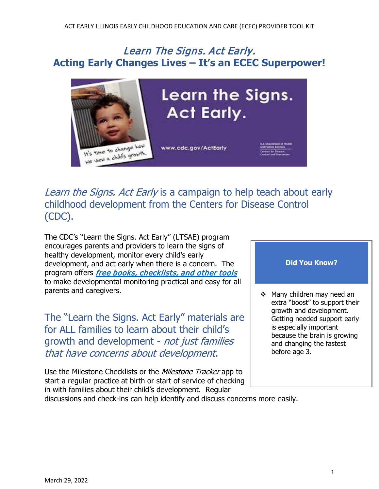# Learn The Signs. Act Early. **Acting Early Changes Lives – It's an ECEC Superpower!**



Learn the Signs. Act Early is a campaign to help teach about early childhood development from the Centers for Disease Control (CDC).

The CDC's "Learn the Signs. Act Early" (LTSAE) program encourages parents and providers to learn the signs of healthy development, monitor every child's early development, and act early when there is a concern. The program offers *free books, checklists, and other tools* to make developmental monitoring practical and easy for all parents and caregivers.

The "Learn the Signs. Act Early" materials are for ALL families to learn about their child's growth and development - not just families that have concerns about development.

Use the Milestone Checklists or the *Milestone Tracker* app to start a regular practice at birth or start of service of checking in with families about their child's development. Regular

### **Did You Know?**

 $\div$  Many children may need an extra "boost" to support their growth and development. Getting needed support early is especially important because the brain is growing and changing the fastest before age 3.

discussions and check-ins can help identify and discuss concerns more easily.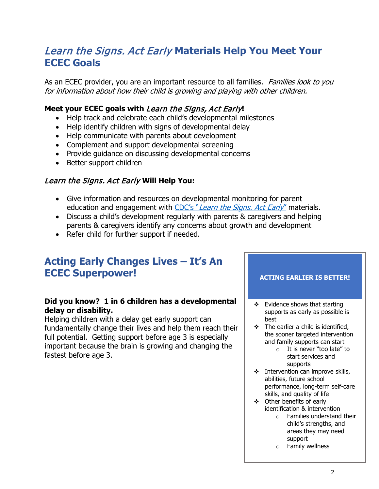# Learn the Signs. Act Early **Materials Help You Meet Your ECEC Goals**

As an ECEC provider, you are an important resource to all families. Families look to you for information about how their child is growing and playing with other children.

## **Meet your ECEC goals with** Learn the Signs, Act Early**!**

- Help track and celebrate each child's developmental milestones
- Help identify children with signs of developmental delay
- Help communicate with parents about development
- Complement and support developmental screening
- Provide guidance on discussing developmental concerns
- Better support children

## Learn the Signs. Act Early **Will Help You:**

- Give information and resources on developmental monitoring for parent education and engagement with CDC's "[Learn the Signs. Act Early](https://www.cdc.gov/ncbddd/actearly/index.html)" materials.
- Discuss a child's development regularly with parents & caregivers and helping parents & caregivers identify any concerns about growth and development
- Refer child for further support if needed.

## **Acting Early Changes Lives – It's An ECEC Superpower!**

### **Did you know? 1 in 6 children has a developmental delay or disability.**

Helping children with a delay get early support can fundamentally change their lives and help them reach their full potential. Getting support before age 3 is especially important because the brain is growing and changing the fastest before age 3.

### **ACTING EARLIER IS BETTER!**

- $\div$  Evidence shows that starting supports as early as possible is best
- $\div$  The earlier a child is identified, the sooner targeted intervention and family supports can start
	- o It is never "too late" to start services and supports
- $\div$  Intervention can improve skills, abilities, future school performance, long-term self-care skills, and quality of life
- Other benefits of early identification & intervention
	- o Families understand their child's strengths, and areas they may need support
	- o Family wellness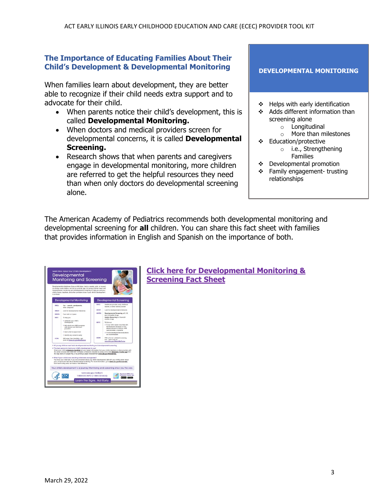#### **The Importance of Educating Families About Their Child's Development & Developmental Monitoring**

When families learn about development, they are better able to recognize if their child needs extra support and to advocate for their child.

- When parents notice their child's development, this is called **Developmental Monitoring.**
- When doctors and medical providers screen for developmental concerns, it is called **Developmental Screening.**
- Research shows that when parents and caregivers engage in developmental monitoring, more children are referred to get the helpful resources they need than when only doctors do developmental screening alone.

**DEVELOPMENTAL MONITORING**

- $\div$  Helps with early identification
- ❖ Adds different information than screening alone
	- o Longitudinal
	- o More than milestones
- Education/protective o i.e., Strengthening
	- Families
- Developmental promotion
- Family engagement- trusting relationships

The American Academy of Pediatrics recommends both developmental monitoring and developmental screening for **all** children. You can share this fact sheet with families that provides information in English and Spanish on the importance of both.



**[Click here for Developmental Monitoring &](https://www.cdc.gov/ncbddd/actearly/pdf/Dev-Mon-and-Screen-English-and-Spanish-P.pdf)  [Screening Fact Sheet](https://www.cdc.gov/ncbddd/actearly/pdf/Dev-Mon-and-Screen-English-and-Spanish-P.pdf)**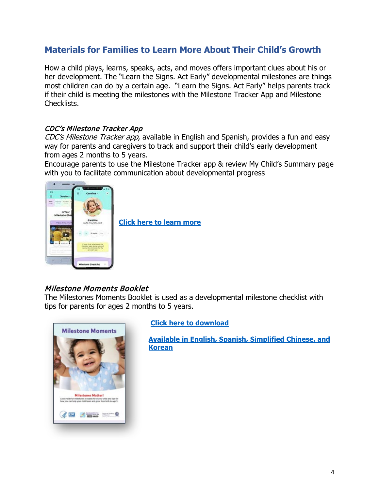## **Materials for Families to Learn More About Their Child's Growth**

How a child plays, learns, speaks, acts, and moves offers important clues about his or her development. The "Learn the Signs. Act Early" developmental milestones are things most children can do by a certain age. "Learn the Signs. Act Early" helps parents track if their child is meeting the milestones with the Milestone Tracker App and Milestone Checklists.

### CDC's Milestone Tracker App

CDC's Milestone Tracker app, available in English and Spanish, provides a fun and easy way for parents and caregivers to track and support their child's early development from ages 2 months to 5 years.

Encourage parents to use the Milestone Tracker app & review My Child's Summary page with you to facilitate communication about developmental progress



**[Click here to learn more](https://www.cdc.gov/ncbddd/actearly/milestones-app.html)**

## Milestone Moments Booklet

The Milestones Moments Booklet is used as a developmental milestone checklist with tips for parents for ages 2 months to 5 years.



### **[Click here to download](https://www.cdc.gov/ncbddd/actearly/pdf/checklists/Checklists-with-Tips_Reader_508.pdf)**

**[Available in English, Spanish,](https://www.cdc.gov/ncbddd/actearly/pdf/booklets/Milestone-Moments-Booklet_Reader_508.pdf) [Simplified Chinese,](https://www.cdc.gov/ncbddd/actearly/pdf/Milestone-Moments-Chinese-ReaderSpread-3-10-2015.pdf) and [Korean](https://www.cdc.gov/ncbddd/actearly/pdf/Milestone-Moments_ReaderSpreads_Eng_KO_508.pdf)**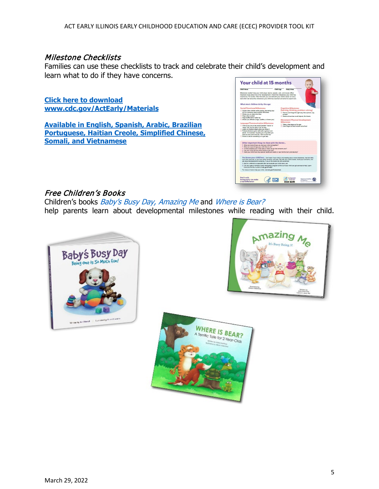#### Milestone Checklists

Families can use these checklists to track and celebrate their child's development and learn what to do if they have concerns.

**Click here to download [www.cdc.gov/ActEarly/Materials](http://www.cdc.gov/ActEarly/Materials)**

**[Available in English, Spanish,](https://www.cdc.gov/ncbddd/actearly/freematerials.html) [Arabic,](https://www.cdc.gov/ncbddd/actearly/pdf/other-lang/Checklist-with-Parent-Tips_Arabic_508.pdf) [Brazilian](https://www.cdc.gov/ncbddd/actearly/freematerials.html)  [Portuguese,](https://www.cdc.gov/ncbddd/actearly/freematerials.html) [Haitian Creole,](https://www.cdc.gov/ncbddd/actearly/pdf/other-lang/HC-CDC_LTSAE-Checklists15_FNL-P.pdf) [Simplified Chinese,](https://www.cdc.gov/ncbddd/actearly/pdf/other-lang/AllAges-Mile.Checklist_GeneralVersion_Chinese-P_1.pdf) [Somali,](https://www.cdc.gov/ncbddd/actearly/pdf/other-lang/Checklist-with-Parent-Tips_Somalian-P.pdf) and [Vietnamese](https://www.cdc.gov/ncbddd/actearly/freematerials.html)**

| <b>Child's Name</b>                                                                                                                                                                                                                                                                                                                                                                                                                                                                                                                                                                                                                                                                                           | Child's Age<br><b>Today's Date</b>                                                                                                                                                                                                                                                                                                        |
|---------------------------------------------------------------------------------------------------------------------------------------------------------------------------------------------------------------------------------------------------------------------------------------------------------------------------------------------------------------------------------------------------------------------------------------------------------------------------------------------------------------------------------------------------------------------------------------------------------------------------------------------------------------------------------------------------------------|-------------------------------------------------------------------------------------------------------------------------------------------------------------------------------------------------------------------------------------------------------------------------------------------------------------------------------------------|
| Milestones matter! How your child plays, learns, speaks, acts, and moves offers<br>important clues about his or her development. Check the milestones your child has<br>reached by 15 months. Take this with you and talk with your child's doctor at every<br>well-child visit about the milestones your child has reached and what to expect next.                                                                                                                                                                                                                                                                                                                                                          |                                                                                                                                                                                                                                                                                                                                           |
| What most children do by this age:                                                                                                                                                                                                                                                                                                                                                                                                                                                                                                                                                                                                                                                                            |                                                                                                                                                                                                                                                                                                                                           |
| <b>Social/Emotional Milestones</b><br>C Copies other children while playing. Bue taking toys<br>out of a container when another child does.<br>Shows you an object she likes<br>C Claps when excited<br>C Hugs stuffed dail or other toy<br>C Shows you affection (hugs, cuddles, or kisses you)<br><b>Language/Communication Milestones</b><br>C Tries to say one or two words besides "mama" or<br>"Harts." Sike "ha" for hall or "da" for door<br>[3] Looks at a familiar object when you name it<br>Follows directions given with both a gesture and<br>words. For example, he gives you a toy when you<br>hold out your hand and say. "Give me the toy."<br>C Points to ask for something or to get help | <b>Cognitive Milestones</b><br>(learning, thinking, problem-solving)<br>C Tries to use things the right way. Bie a phone, cup,<br>ne heade<br>[3] Stacks at least two small objects, like blocks<br><b>Movement/Physical Development</b><br><b>Milestones</b><br>□ Takes a few steps on his own<br>Uses fingers to feed herself some food |
| Other important things to share with the doctor<br>. What are some things you and your child do together?<br>. What are some things your child likes to do?<br>* Is there anything your child does or does not do that concerns you?<br>. Has your child lost any skills he'she once had?<br>* Does your child have any special healthcare needs or was helshe born prematurely?                                                                                                                                                                                                                                                                                                                              | You know your child best. Don't wait. If your child is not meeting one or more milestones, has lost skills<br>he or she once had, or you have other concerns, act early. Talk with your child's doctor, share your concerns, and                                                                                                          |
| ask about developmental screening. If you or the doctor are still concerned:<br>1. Ask for a referral to a specialist who can evaluate your child more; and<br>more and find the number at ede, powFindEl.<br>For more on how to help your child, visit ede, gov!Concerned.                                                                                                                                                                                                                                                                                                                                                                                                                                   | 2. Call your state or territory's early intervention program to find out if your child can get services to help. Learn                                                                                                                                                                                                                    |

## Free Children's Books

Children's books Baby's Busy Day, Amazing Me and Where is Bear? help parents learn about developmental milestones while reading with their child.





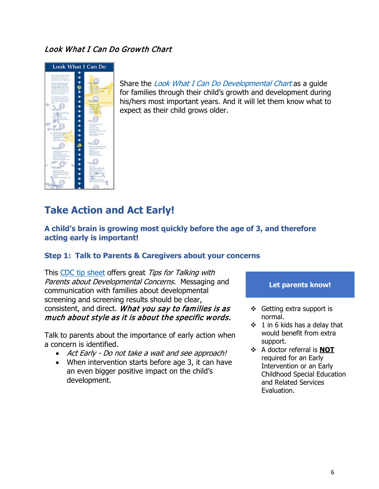## Look What I Can Do Growth Chart



Share the *Look What I Can Do Developmental Chart* as a quide for families through their child's growth and development during his/hers most important years. And it will let them know what to expect as their child grows older.

# **Take Action and Act Early!**

#### **A child's brain is growing most quickly before the age of 3, and therefore acting early is important!**

### **Step 1: Talk to Parents & Caregivers about your concerns**

This [CDC tip sheet](https://www.cdc.gov/ncbddd/actearly/pdf/parents_pdfs/tipstalkingparents.pdf) offers great Tips for Talking with Parents about Developmental Concerns. Messaging and communication with families about developmental screening and screening results should be clear, consistent, and direct. What you say to families is as much about style as it is about the specific words.

Talk to parents about the importance of early action when a concern is identified.

- Act Early Do not take a wait and see approach!
- When intervention starts before age 3, it can have an even bigger positive impact on the child's development.

#### **Let parents know!**

- Getting extra support is normal.
- $\div$  1 in 6 kids has a delay that would benefit from extra support.
- A doctor referral is **NOT** required for an Early Intervention or an Early Childhood Special Education and Related Services Evaluation.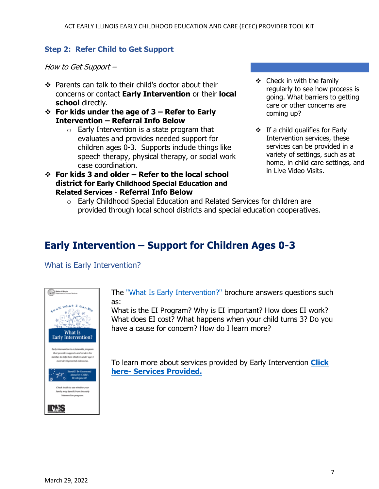### **Step 2: Refer Child to Get Support**

How to Get Support –

- ❖ Parents can talk to their child's doctor about their concerns or contact **Early Intervention** or their **local school** directly.
- **For kids under the age of 3 Refer to Early Intervention – Referral Info Below**
	- $\circ$  Early Intervention is a state program that evaluates and provides needed support for children ages 0-3. Supports include things like speech therapy, physical therapy, or social work case coordination.
- **For kids 3 and older Refer to the local school district for Early Childhood Special Education and Related Services** - **Referral Info Below**
- $\div$  Check in with the family regularly to see how process is going. What barriers to getting care or other concerns are coming up?
- $\div$  If a child qualifies for Early Intervention services, these services can be provided in a variety of settings, such as at home, in child care settings, and in Live Video Visits.
- $\circ$  Early Childhood Special Education and Related Services for children are provided through local school districts and special education cooperatives.

# **Early Intervention – Support for Children Ages 0-3**

What is Early Intervention?



The ["What Is Early Intervention?"](https://www.childfind-idea-il.us/Materials/4395_Early_Intervention_042017.pdf) brochure answers questions such as:

What is the EI Program? Why is EI important? How does EI work? What does EI cost? What happens when your child turns 3? Do you have a cause for concern? How do I learn more?

To learn more about services provided by Early Intervention **[Click](https://eiclearinghouse.org/getting-started/ei-program-services/)  [here-](https://eiclearinghouse.org/getting-started/ei-program-services/) Services Provided.**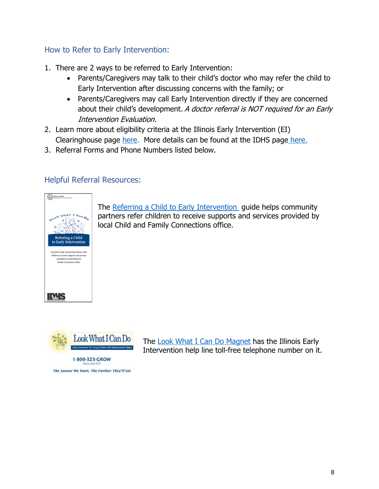## How to Refer to Early Intervention:

- 1. There are 2 ways to be referred to Early Intervention:
	- Parents/Caregivers may talk to their child's doctor who may refer the child to Early Intervention after discussing concerns with the family; or
	- Parents/Caregivers may call Early Intervention directly if they are concerned about their child's development. A doctor referral is NOT required for an Early Intervention Evaluation.
- 2. Learn more about eligibility criteria at the Illinois Early Intervention (EI) Clearinghouse page [here.](https://eiclearinghouse.org/getting-started/eligibility/) More details can be found at the IDHS pag[e here.](https://www.dhs.state.il.us/page.aspx?item=96963)
- 3. Referral Forms and Phone Numbers listed below.

## Helpful Referral Resources:



The [Referring a Child to Early Intervention](https://www.childfind-idea-il.us/Materials/4270.pdf) guide helps community partners refer children to receive supports and services provided by local Child and Family Connections office.



The Sooner We Start, The Farther They'll Go!

The [Look What I Can Do Magnet](https://www.childfind-idea-il.us/Materials/magnet_business-card.pdf) has the Illinois Early Intervention help line toll-free telephone number on it.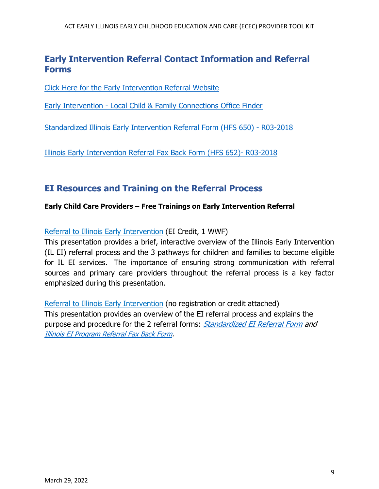## **Early Intervention Referral Contact Information and Referral Forms**

[Click Here for the Early Intervention Referral Website](https://eitp.education.illinois.edu/Files/COVID19/Referralinfographic.pdf)

[Early Intervention - Local Child & Family Connections Office Finder](https://eitp.education.illinois.edu/Files/Resources/CFCListing.pdf) 

[Standardized Illinois Early Intervention Referral Form \(HFS 650\) - R03-2018](https://www.illinois.gov/hfs/SiteCollectionDocuments/hfs650.pdf)

[Illinois Early Intervention Referral Fax Back Form \(HFS 652\)- R03-2018](https://www.illinois.gov/hfs/SiteCollectionDocuments/hfs652.pdf)

## **EI Resources and Training on the Referral Process**

#### **Early Child Care Providers – Free Trainings on Early Intervention Referral**

[Referral to Illinois Early Intervention](https://urldefense.proofpoint.com/v2/url?u=https-3A__cvent.me_ovXAK8&d=DwMF-g&c=euGZstcaTDllvimEN8b7jXrwqOf-v5A_CdpgnVfiiMM&r=CZzzyg6IilIWfO6wcCUEP0U3i98usT-q7U73WxrTpNM&m=1sxiy6EeldfmEm-pC_Y02cV5xncl-MDmFGBLaO6yVWs&s=JWIdKfuSrTFBhqRZbkgkXzNXmetWJ-T8OWjqPYnm-mg&e=) (EI Credit, 1 WWF)

This presentation provides a brief, interactive overview of the Illinois Early Intervention (IL EI) referral process and the 3 pathways for children and families to become eligible for IL EI services. The importance of ensuring strong communication with referral sources and primary care providers throughout the referral process is a key factor emphasized during this presentation.

[Referral to Illinois Early Intervention](https://urldefense.proofpoint.com/v2/url?u=https-3A__eitp.education.illinois.edu_online_LMS_Referral_index.html&d=DwMF-g&c=euGZstcaTDllvimEN8b7jXrwqOf-v5A_CdpgnVfiiMM&r=CZzzyg6IilIWfO6wcCUEP0U3i98usT-q7U73WxrTpNM&m=1sxiy6EeldfmEm-pC_Y02cV5xncl-MDmFGBLaO6yVWs&s=Vd10W8MsER5e84EGXWlacaVKv231ntJ0kD2wdqcMyMY&e=) (no registration or credit attached) This presentation provides an overview of the EI referral process and explains the purpose and procedure for the 2 referral forms: [Standardized EI Referral Form](https://www.illinois.gov/hfs/SiteCollectionDocuments/hfs650.pdf) and [Illinois EI Program Referral Fax Back Form.](https://www.illinois.gov/hfs/SiteCollectionDocuments/hfs652.pdf)